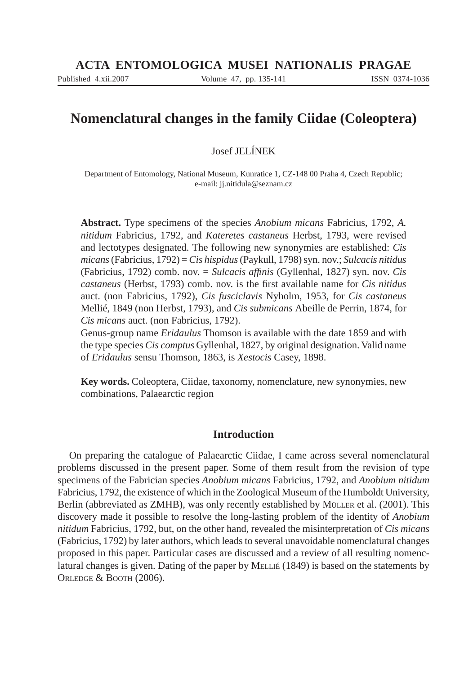Published 4.xii.2007 Volume 47, pp. 135-141 ISSN 0374-1036

# **Nomenclatural changes in the family Ciidae (Coleoptera)**

# Josef JELÍNEK

Department of Entomology, National Museum, Kunratice 1, CZ-148 00 Praha 4, Czech Republic; e-mail: jj.nitidula@seznam.cz

**Abstract.** Type specimens of the species *Anobium micans* Fabricius, 1792, *A. nitidum* Fabricius, 1792, and *Kateretes castaneus* Herbst, 1793, were revised and lectotypes designated. The following new synonymies are established: *Cis micans* (Fabricius, 1792) = *Cis hispidus* (Paykull, 1798) syn. nov.; *Sulcacis nitidus* (Fabricius, 1792) comb. nov. = *Sulcacis affinis* (Gyllenhal, 1827) syn. nov. *Cis castaneus* (Herbst, 1793) comb. nov. is the first available name for *Cis nitidus* auct. (non Fabricius, 1792), *Cis fusciclavis* Nyholm, 1953, for *Cis castaneus* Mellié, 1849 (non Herbst, 1793), and *Cis submicans* Abeille de Perrin, 1874, for *Cis micans* auct. (non Fabricius, 1792).

Genus-group name *Eridaulus* Thomson is available with the date 1859 and with the type species *Cis comptus* Gyllenhal, 1827, by original designation. Valid name of *Eridaulus* sensu Thomson, 1863, is *Xestocis* Casey, 1898.

**Key words.** Coleoptera, Ciidae, taxonomy, nomenclature, new synonymies, new combinations, Palaearctic region

# **Introduction**

On preparing the catalogue of Palaearctic Ciidae, I came across several nomenclatural problems discussed in the present paper. Some of them result from the revision of type specimens of the Fabrician species *Anobium micans* Fabricius, 1792, and *Anobium nitidum* Fabricius, 1792, the existence of which in the Zoological Museum of the Humboldt University, Berlin (abbreviated as ZMHB), was only recently established by MÜLLER et al. (2001). This discovery made it possible to resolve the long-lasting problem of the identity of *Anobium nitidum* Fabricius, 1792, but, on the other hand, revealed the misinterpretation of *Cis micans* (Fabricius, 1792) by later authors, which leads to several unavoidable nomenclatural changes proposed in this paper. Particular cases are discussed and a review of all resulting nomenclatural changes is given. Dating of the paper by MELLIÉ (1849) is based on the statements by ORLEDGE & BOOTH (2006).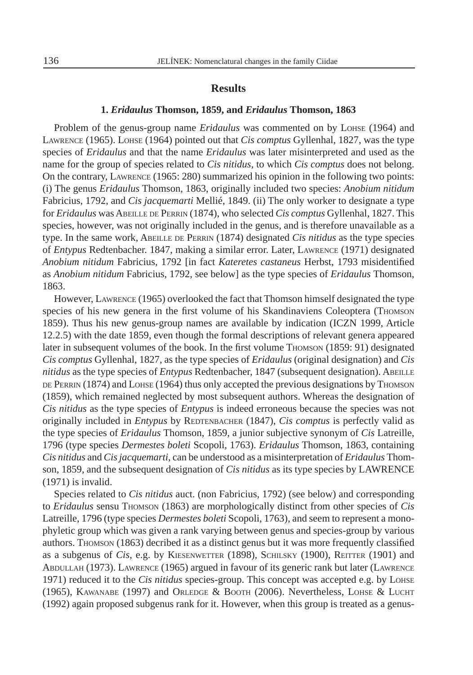## **Results**

### **1.** *Eridaulus* **Thomson, 1859, and** *Eridaulus* **Thomson, 1863**

Problem of the genus-group name *Eridaulus* was commented on by LOHSE (1964) and LAWRENCE (1965). LOHSE (1964) pointed out that *Cis comptus* Gyllenhal, 1827, was the type species of *Eridaulus* and that the name *Eridaulus* was later misinterpreted and used as the name for the group of species related to *Cis nitidus*, to which *Cis comptus* does not belong. On the contrary, LAWRENCE (1965: 280) summarized his opinion in the following two points: (i) The genus *Eridaulus* Thomson, 1863, originally included two species: *Anobium nitidum* Fabricius, 1792, and *Cis jacquemarti* Mellié, 1849. (ii) The only worker to designate a type for *Eridaulus* was ABEILLE DE PERRIN (1874), who selected *Cis comptus* Gyllenhal, 1827. This species, however, was not originally included in the genus, and is therefore unavailable as a type. In the same work, ABEILLE DE PERRIN (1874) designated *Cis nitidus* as the type species of *Entypus* Redtenbacher. 1847, making a similar error. Later, LAWRENCE (1971) designated *Anobium nitidum* Fabricius, 1792 [in fact *Kateretes castaneus* Herbst, 1793 misidentified as *Anobium nitidum* Fabricius, 1792, see below] as the type species of *Eridaulus* Thomson, 1863.

However, LAWRENCE (1965) overlooked the fact that Thomson himself designated the type species of his new genera in the first volume of his Skandinaviens Coleoptera (THOMSON 1859). Thus his new genus-group names are available by indication (ICZN 1999, Article 12.2.5) with the date 1859, even though the formal descriptions of relevant genera appeared later in subsequent volumes of the book. In the first volume Thomson (1859: 91) designated *Cis comptus* Gyllenhal, 1827, as the type species of *Eridaulus* (original designation) and *Cis nitidus* as the type species of *Entypus* Redtenbacher, 1847 (subsequent designation). ABEILLE DE PERRIN (1874) and LOHSE (1964) thus only accepted the previous designations by Thomson (1859), which remained neglected by most subsequent authors. Whereas the designation of *Cis nitidus* as the type species of *Entypus* is indeed erroneous because the species was not originally included in *Entypus* by REDTENBACHER (1847), *Cis comptus* is perfectly valid as the type species of *Eridaulus* Thomson, 1859, a junior subjective synonym of *Cis* Latreille, 1796 (type species *Dermestes boleti* Scopoli, 1763). *Eridaulus* Thomson, 1863, containing *Cis nitidus* and *Cis jacquemarti*, can be understood as a misinterpretation of *Eridaulus* Thomson, 1859, and the subsequent designation of *Cis nitidus* as its type species by LAWRENCE (1971) is invalid.

Species related to *Cis nitidus* auct. (non Fabricius, 1792) (see below) and corresponding to *Eridaulus* sensu THOMSON (1863) are morphologically distinct from other species of *Cis* Latreille, 1796 (type species *Dermestes boleti* Scopoli, 1763), and seem to represent a monophyletic group which was given a rank varying between genus and species-group by various authors. Thomson (1863) decribed it as a distinct genus but it was more frequently classified as a subgenus of *Cis*, e.g. by KIESENWETTER (1898), SCHILSKY (1900), REITTER (1901) and ABDULLAH (1973). LAWRENCE (1965) argued in favour of its generic rank but later (LAWRENCE 1971) reduced it to the *Cis nitidus* species-group. This concept was accepted e.g. by LOHSE (1965), KAWANABE (1997) and ORLEDGE & BOOTH (2006). Nevertheless, LOHSE & LUCHT (1992) again proposed subgenus rank for it. However, when this group is treated as a genus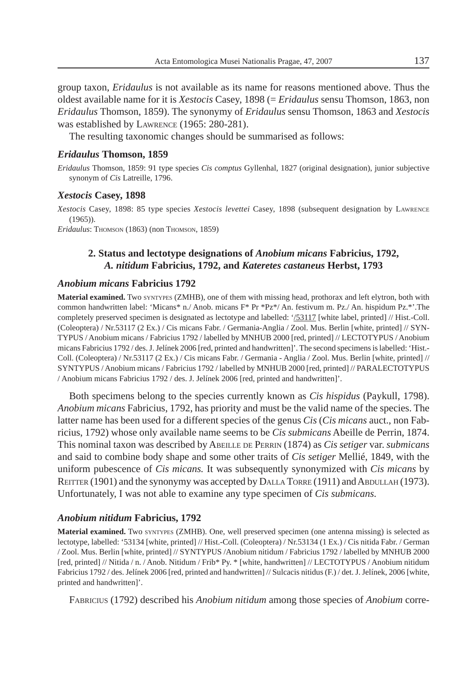group taxon, *Eridaulus* is not available as its name for reasons mentioned above. Thus the oldest available name for it is *Xestocis* Casey, 1898 (= *Eridaulus* sensu Thomson, 1863, non *Eridaulus* Thomson, 1859). The synonymy of *Eridaulus* sensu Thomson, 1863 and *Xestocis* was established by LAWRENCE (1965: 280-281).

The resulting taxonomic changes should be summarised as follows:

#### *Eridaulus* **Thomson, 1859**

*Eridaulus* Thomson, 1859: 91 type species *Cis comptus* Gyllenhal, 1827 (original designation), junior subjective synonym of *Cis* Latreille, 1796.

#### *Xestocis* **Casey, 1898**

*Xestocis* Casey, 1898: 85 type species *Xestocis levettei* Casey, 1898 (subsequent designation by LAWRENCE (1965)).

*Eridaulus*: THOMSON (1863) (non THOMSON, 1859)

# **2. Status and lectotype designations of** *Anobium micans* **Fabricius, 1792,**  *A. nitidum* **Fabricius, 1792, and** *Kateretes castaneus* **Herbst, 1793**

## *Anobium micans* **Fabricius 1792**

**Material examined.** Two SYNTYPES (ZMHB), one of them with missing head, prothorax and left elytron, both with common handwritten label: 'Micans\* n./ Anob. micans F\* Pr \*Pz\*/ An. festivum m. Pz./ An. hispidum Pz.\*'.The completely preserved specimen is designated as lectotype and labelled: '/53117 [white label, printed] // Hist.-Coll. (Coleoptera) / Nr.53117 (2 Ex.) / Cis micans Fabr. / Germania-Anglia / Zool. Mus. Berlin [white, printed] // SYN-TYPUS / Anobium micans / Fabricius 1792 / labelled by MNHUB 2000 [red, printed] // LECTOTYPUS / Anobium micans Fabricius 1792 / des. J. Jelínek 2006 [red, printed and handwritten]'. The second specimens is labelled: 'Hist.- Coll. (Coleoptera) / Nr.53117 (2 Ex.) / Cis micans Fabr. / Germania - Anglia / Zool. Mus. Berlin [white, printed] // SYNTYPUS / Anobium micans / Fabricius 1792 / labelled by MNHUB 2000 [red, printed] // PARALECTOTYPUS / Anobium micans Fabricius 1792 / des. J. Jelínek 2006 [red, printed and handwritten]'.

Both specimens belong to the species currently known as *Cis hispidus* (Paykull, 1798). *Anobium micans* Fabricius, 1792, has priority and must be the valid name of the species. The latter name has been used for a different species of the genus *Cis* (*Cis micans* auct., non Fabricius, 1792) whose only available name seems to be *Cis submicans* Abeille de Perrin, 1874. This nominal taxon was described by ABEILLE DE PERRIN (1874) as *Cis setiger* var. *submicans* and said to combine body shape and some other traits of *Cis setiger* Mellié, 1849, with the uniform pubescence of *Cis micans.* It was subsequently synonymized with *Cis micans* by REITTER (1901) and the synonymy was accepted by DALLA TORRE (1911) and ABDULLAH (1973). Unfortunately, I was not able to examine any type specimen of *Cis submicans.*

### *Anobium nitidum* **Fabricius, 1792**

**Material examined.** Two SYNTYPES (ZMHB). One, well preserved specimen (one antenna missing) is selected as lectotype, labelled: '53134 [white, printed] // Hist.-Coll. (Coleoptera) / Nr.53134 (1 Ex.) / Cis nitida Fabr. / German / Zool. Mus. Berlin [white, printed] // SYNTYPUS /Anobium nitidum / Fabricius 1792 / labelled by MNHUB 2000 [red, printed] // Nitida / n. / Anob. Nitidum / Frib\* Py. \* [white, handwritten] // LECTOTYPUS / Anobium nitidum Fabricius 1792 / des. Jelínek 2006 [red, printed and handwritten] // Sulcacis nitidus (F.) / det. J. Jelínek, 2006 [white, printed and handwritten]'.

FABRICIUS (1792) described his *Anobium nitidum* among those species of *Anobium* corre-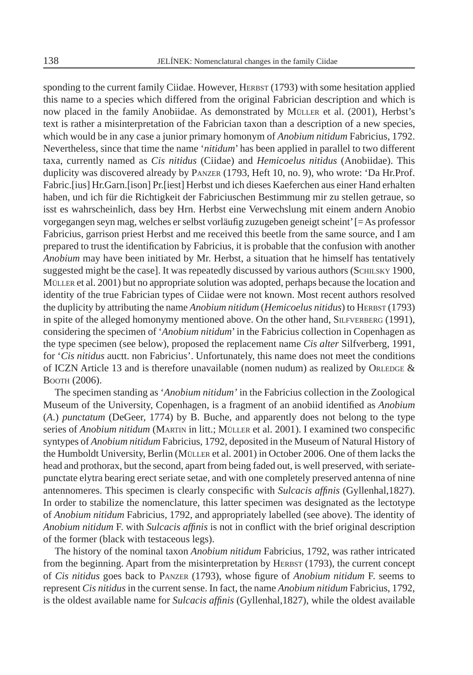sponding to the current family Ciidae. However, HERBST (1793) with some hesitation applied this name to a species which differed from the original Fabrician description and which is now placed in the family Anobiidae. As demonstrated by MÜLLER et al. (2001), Herbst's text is rather a misinterpretation of the Fabrician taxon than a description of a new species, which would be in any case a junior primary homonym of *Anobium nitidum* Fabricius, 1792. Nevertheless, since that time the name '*nitidum*' has been applied in parallel to two different taxa, currently named as *Cis nitidus* (Ciidae) and *Hemicoelus nitidus* (Anobiidae). This duplicity was discovered already by PANZER (1793, Heft 10, no. 9), who wrote: 'Da Hr.Prof. Fabric.[ius] Hr.Garn.[ison] Pr.[iest] Herbst und ich dieses Kaeferchen aus einer Hand erhalten haben, und ich für die Richtigkeit der Fabriciuschen Bestimmung mir zu stellen getraue, so isst es wahrscheinlich, dass bey Hrn. Herbst eine Verwechslung mit einem andern Anobio vorgegangen seyn mag, welches er selbst vorläufig zuzugeben geneigt scheint' [= As professor Fabricius, garrison priest Herbst and me received this beetle from the same source, and I am prepared to trust the identification by Fabricius, it is probable that the confusion with another *Anobium* may have been initiated by Mr. Herbst, a situation that he himself has tentatively suggested might be the case]. It was repeatedly discussed by various authors (SCHILSKY 1900, MÜLLER et al. 2001) but no appropriate solution was adopted, perhaps because the location and identity of the true Fabrician types of Ciidae were not known. Most recent authors resolved the duplicity by attributing the name *Anobium nitidum* (*Hemicoelus nitidus*) to HERBST (1793) in spite of the alleged homonymy mentioned above. On the other hand, SILFVERBERG (1991), considering the specimen of '*Anobium nitidum*' in the Fabricius collection in Copenhagen as the type specimen (see below), proposed the replacement name *Cis alter* Silfverberg, 1991, for '*Cis nitidus* auctt. non Fabricius'. Unfortunately, this name does not meet the conditions of ICZN Article 13 and is therefore unavailable (nomen nudum) as realized by ORLEDGE  $\&$ BOOTH (2006).

The specimen standing as '*Anobium nitidum'* in the Fabricius collection in the Zoological Museum of the University, Copenhagen, is a fragment of an anobiid identified as *Anobium* (*A*.) *punctatum* (DeGeer, 1774) by B. Buche, and apparently does not belong to the type series of *Anobium nitidum* (MARTIN in litt.; MÜLLER et al. 2001). I examined two conspecific syntypes of *Anobium nitidum* Fabricius, 1792, deposited in the Museum of Natural History of the Humboldt University, Berlin (MÜLLER et al. 2001) in October 2006. One of them lacks the head and prothorax, but the second, apart from being faded out, is well preserved, with seriatepunctate elytra bearing erect seriate setae, and with one completely preserved antenna of nine antennomeres. This specimen is clearly conspecific with *Sulcacis affinis* (Gyllenhal,1827). In order to stabilize the nomenclature, this latter specimen was designated as the lectotype of *Anobium nitidum* Fabricius, 1792, and appropriately labelled (see above). The identity of *Anobium nitidum* F. with *Sulcacis affinis* is not in conflict with the brief original description of the former (black with testaceous legs).

The history of the nominal taxon *Anobium nitidum* Fabricius, 1792, was rather intricated from the beginning. Apart from the misinterpretation by HERBST (1793), the current concept of *Cis nitidus* goes back to PANZER (1793), whose figure of *Anobium nitidum* F. seems to represent *Cis nitidus* in the current sense. In fact, the name *Anobium nitidum* Fabricius, 1792, is the oldest available name for *Sulcacis affinis* (Gyllenhal, 1827), while the oldest available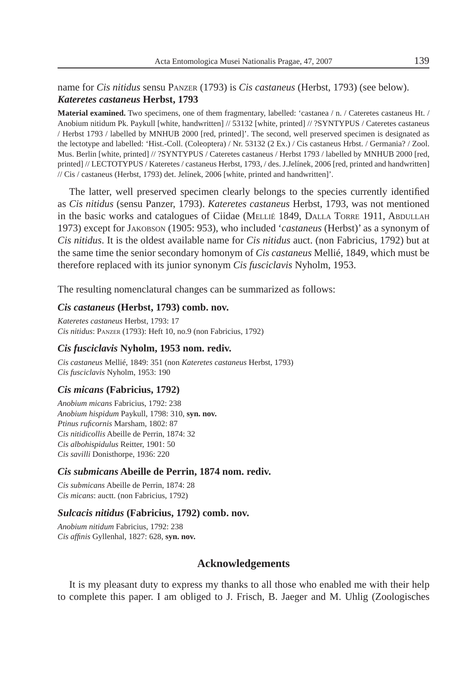# name for *Cis nitidus* sensu PANZER (1793) is *Cis castaneus* (Herbst, 1793) (see below). *Kateretes castaneus* **Herbst, 1793**

**Material examined.** Two specimens, one of them fragmentary, labelled: 'castanea / n. / Cateretes castaneus Ht. / Anobium nitidum Pk. Paykull [white, handwritten] // 53132 [white, printed] // ?SYNTYPUS / Cateretes castaneus / Herbst 1793 / labelled by MNHUB 2000 [red, printed]'. The second, well preserved specimen is designated as the lectotype and labelled: 'Hist.-Coll. (Coleoptera) / Nr. 53132 (2 Ex.) / Cis castaneus Hrbst. / Germania? / Zool. Mus. Berlin [white, printed] // ?SYNTYPUS / Cateretes castaneus / Herbst 1793 / labelled by MNHUB 2000 [red, printed] // LECTOTYPUS / Kateretes / castaneus Herbst, 1793, / des. J.Jelínek, 2006 [red, printed and handwritten] // Cis / castaneus (Herbst, 1793) det. Jelínek, 2006 [white, printed and handwritten]'.

The latter, well preserved specimen clearly belongs to the species currently identified as *Cis nitidus* (sensu Panzer, 1793). *Kateretes castaneus* Herbst, 1793, was not mentioned in the basic works and catalogues of Ciidae (MELLIÉ 1849, DALLA TORRE 1911, ABDULLAH 1973) except for JAKOBSON (1905: 953), who included '*castaneus* (Herbst)' as a synonym of *Cis nitidus*. It is the oldest available name for *Cis nitidus* auct. (non Fabricius, 1792) but at the same time the senior secondary homonym of *Cis castaneus* Mellié, 1849, which must be therefore replaced with its junior synonym *Cis fusciclavis* Nyholm, 1953.

The resulting nomenclatural changes can be summarized as follows:

#### *Cis castaneus* **(Herbst, 1793) comb. nov.**

*Kateretes castaneus* Herbst, 1793: 17 *Cis nitidus*: PANZER (1793): Heft 10, no.9 (non Fabricius, 1792)

## *Cis fusciclavis* **Nyholm, 1953 nom. rediv.**

*Cis castaneus* Mellié, 1849: 351 (non *Kateretes castaneus* Herbst, 1793) *Cis fusciclavis* Nyholm, 1953: 190

#### *Cis micans* **(Fabricius, 1792)**

*Anobium micans* Fabricius, 1792: 238 *Anobium hispidum* Paykull, 1798: 310, **syn. nov.** *Ptinus rufi cornis* Marsham, 1802: 87 *Cis nitidicollis* Abeille de Perrin, 1874: 32 *Cis albohispidulus* Reitter, 1901: 50 *Cis savilli* Donisthorpe, 1936: 220

#### *Cis submicans* **Abeille de Perrin, 1874 nom. rediv.**

*Cis submicans* Abeille de Perrin, 1874: 28 *Cis micans*: auctt. (non Fabricius, 1792)

#### *Sulcacis nitidus* **(Fabricius, 1792) comb. nov.**

*Anobium nitidum* Fabricius, 1792: 238 *Cis affinis* Gyllenhal, 1827: 628, syn. nov.

## **Acknowledgements**

It is my pleasant duty to express my thanks to all those who enabled me with their help to complete this paper. I am obliged to J. Frisch, B. Jaeger and M. Uhlig (Zoologisches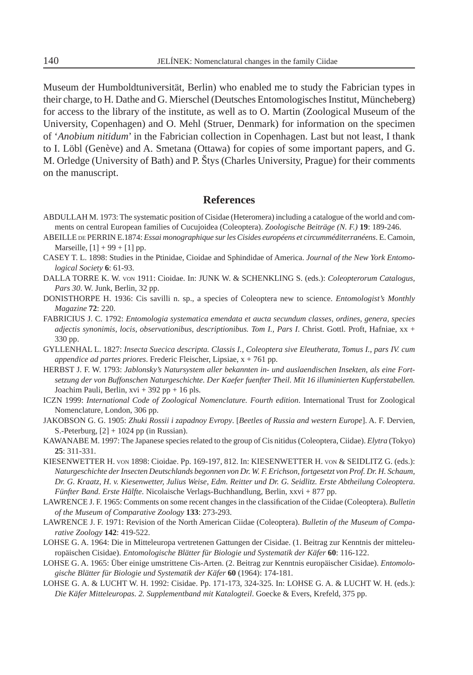Museum der Humboldtuniversität, Berlin) who enabled me to study the Fabrician types in their charge, to H. Dathe and G. Mierschel (Deutsches Entomologisches Institut, Müncheberg) for access to the library of the institute, as well as to O. Martin (Zoological Museum of the University, Copenhagen) and O. Mehl (Struer, Denmark) for information on the specimen of '*Anobium nitidum*' in the Fabrician collection in Copenhagen. Last but not least, I thank to I. Löbl (Genève) and A. Smetana (Ottawa) for copies of some important papers, and G. M. Orledge (University of Bath) and P. Štys (Charles University, Prague) for their comments on the manuscript.

## **References**

- ABDULLAH M. 1973: The systematic position of Cisidae (Heteromera) including a catalogue of the world and comments on central European families of Cucujoidea (Coleoptera). *Zoologische Beiträge (N. F.)* **19**: 189-246.
- ABEILLE DE PERRIN E.1874: *Essai monographique sur les Cisides européens et circumméditerranéens*. E. Camoin, Marseille,  $[1] + 99 + [1]$  pp.
- CASEY T. L. 1898: Studies in the Ptinidae, Cioidae and Sphindidae of America. *Journal of the New York Entomological Society* **6**: 61-93.
- DALLA TORRE K. W. VON 1911: Cioidae. In: JUNK W. & SCHENKLING S. (eds.): *Coleopterorum Catalogus, Pars 30*. W. Junk, Berlin, 32 pp.
- DONISTHORPE H. 1936: Cis savilli n. sp., a species of Coleoptera new to science. *Entomologist's Monthly Magazine* **72**: 220.
- FABRICIUS J. C. 1792: *Entomologia systematica emendata et aucta secundum classes, ordines, genera, species adjectis synonimis, locis, observationibus, descriptionibus. Tom I., Pars I*. Christ. Gottl. Proft, Hafniae, xx + 330 pp.
- GYLLENHAL L. 1827: *Insecta Suecica descripta. Classis I., Coleoptera sive Eleutherata, Tomus I., pars IV. cum appendice ad partes priores*. Frederic Fleischer, Lipsiae, x + 761 pp.
- HERBST J. F. W. 1793: *Jablonsky's Natursystem aller bekannten in- und auslaendischen Insekten, als eine Fortsetzung der von Buffonschen Naturgeschichte. Der Kaefer fuenfter Theil. Mit 16 illuminierten Kupferstabellen.*  Joachim Pauli, Berlin, xvi + 392 pp + 16 pls.
- ICZN 1999: *International Code of Zoological Nomenclature. Fourth edition*. International Trust for Zoological Nomenclature, London, 306 pp.
- JAKOBSON G. G. 1905: *Zhuki Rossii i zapadnoy Evropy*. [*Beetles of Russia and western Europe*]. A. F. Dervien, S.-Peterburg,  $[2] + 1024$  pp (in Russian).
- KAWANABE M. 1997: The Japanese species related to the group of Cis nitidus (Coleoptera, Ciidae). *Elytra* (Tokyo) **25**: 311-331.
- KIESENWETTER H. VON 1898: Cioidae. Pp. 169-197, 812. In: KIESENWETTER H. VON & SEIDLITZ G. (eds.): *Naturgeschichte der Insecten Deutschlands begonnen von Dr. W. F. Erichson, fortgesetzt von Prof. Dr. H. Schaum, Dr. G. Kraatz, H. v. Kiesenwetter, Julius Weise, Edm. Reitter und Dr. G. Seidlitz. Erste Abtheilung Coleoptera*. *Fünfter Band. Erste Hälfte.* Nicolaische Verlags-Buchhandlung, Berlin, xxvi + 877 pp.
- LAWRENCE J. F. 1965: Comments on some recent changes in the classification of the Ciidae (Coleoptera). *Bulletin of the Museum of Comparative Zoology* **133**: 273-293.
- LAWRENCE J. F. 1971: Revision of the North American Ciidae (Coleoptera). *Bulletin of the Museum of Comparative Zoology* **142**: 419-522.
- LOHSE G. A. 1964: Die in Mitteleuropa vertretenen Gattungen der Cisidae. (1. Beitrag zur Kenntnis der mitteleuropäischen Cisidae). *Entomologische Blätter für Biologie und Systematik der Käfer* **60**: 116-122.
- LOHSE G. A. 1965: Über einige umstrittene Cis-Arten. (2. Beitrag zur Kenntnis europäischer Cisidae). *Entomologische Blätter für Biologie und Systematik der Käfer* **60** (1964): 174-181.
- LOHSE G. A. & LUCHT W. H. 1992: Cisidae. Pp. 171-173, 324-325. In: LOHSE G. A. & LUCHT W. H. (eds.): *Die Käfer Mitteleuropas. 2. Supplementband mit Katalogteil*. Goecke & Evers, Krefeld, 375 pp.